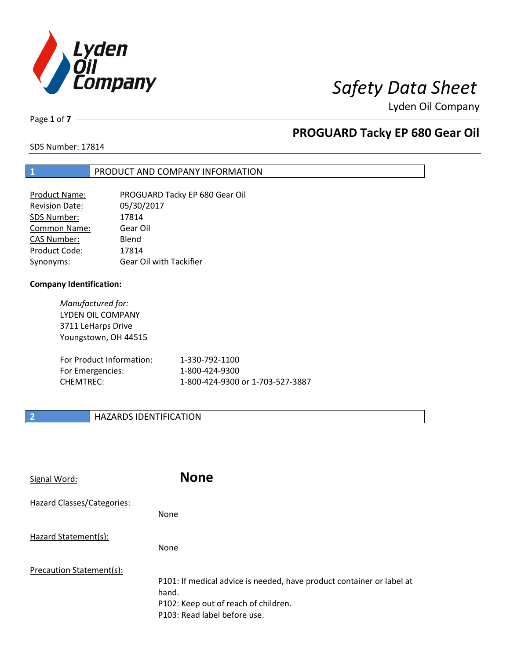

Page **1** of **7**

# **PROGUARD Tacky EP 680 Gear Oil**

SDS Number: 17814

### **1** PRODUCT AND COMPANY INFORMATION

| Product Name:       | PROGUARD Tacky EP 680 Gear Oil |
|---------------------|--------------------------------|
| Revision Date:      | 05/30/2017                     |
| SDS Number:         | 17814                          |
| <b>Common Name:</b> | Gear Oil                       |
| <b>CAS Number:</b>  | Blend                          |
| Product Code:       | 17814                          |
| Synonyms:           | <b>Gear Oil with Tackifier</b> |

#### **Company Identification:**

*Manufactured for:* LYDEN OIL COMPANY 3711 LeHarps Drive Youngstown, OH 44515

| For Product Information: | 1-330-792-1100                   |
|--------------------------|----------------------------------|
| For Emergencies:         | 1-800-424-9300                   |
| CHEMTREC:                | 1-800-424-9300 or 1-703-527-3887 |

### **2 HAZARDS IDENTIFICATION**

| Signal Word:               | <b>None</b>                                                                                                                                            |
|----------------------------|--------------------------------------------------------------------------------------------------------------------------------------------------------|
| Hazard Classes/Categories: | None                                                                                                                                                   |
| Hazard Statement(s):       | None                                                                                                                                                   |
| Precaution Statement(s):   | P101: If medical advice is needed, have product container or label at<br>hand.<br>P102: Keep out of reach of children.<br>P103: Read label before use. |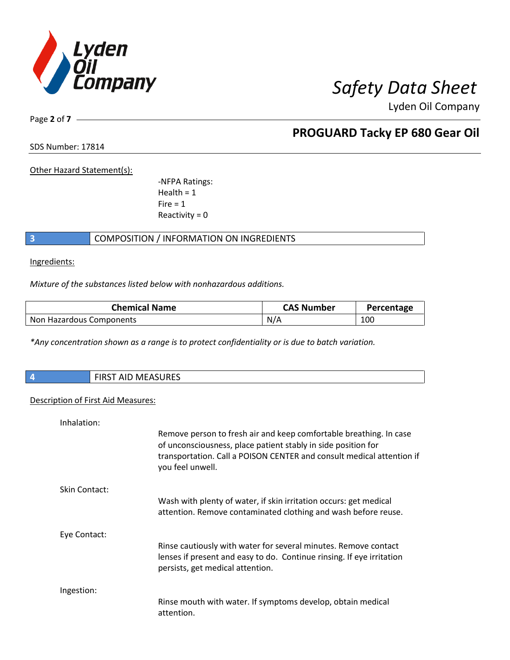

Page **2** of **7**

# **PROGUARD Tacky EP 680 Gear Oil**

SDS Number: 17814

Other Hazard Statement(s):

-NFPA Ratings:  $Health = 1$  $Fire = 1$ Reactivity  $= 0$ 

### **3** COMPOSITION / INFORMATION ON INGREDIENTS

Ingredients:

*Mixture of the substances listed below with nonhazardous additions.*

| <b>Chemical Name</b>     | <b>CAS Number</b> | Percentage |
|--------------------------|-------------------|------------|
| Non Hazardous Components | N/A               | 100        |

*\*Any concentration shown as a range is to protect confidentiality or is due to batch variation.*

| <b>AID MEASURES</b><br><b>FIDCT</b><br>י ש |
|--------------------------------------------|
|--------------------------------------------|

### Description of First Aid Measures:

| Inhalation:   |                                                                                                                                                                                                                                  |
|---------------|----------------------------------------------------------------------------------------------------------------------------------------------------------------------------------------------------------------------------------|
|               | Remove person to fresh air and keep comfortable breathing. In case<br>of unconsciousness, place patient stably in side position for<br>transportation. Call a POISON CENTER and consult medical attention if<br>you feel unwell. |
| Skin Contact: |                                                                                                                                                                                                                                  |
|               | Wash with plenty of water, if skin irritation occurs: get medical<br>attention. Remove contaminated clothing and wash before reuse.                                                                                              |
| Eye Contact:  |                                                                                                                                                                                                                                  |
|               | Rinse cautiously with water for several minutes. Remove contact<br>lenses if present and easy to do. Continue rinsing. If eye irritation<br>persists, get medical attention.                                                     |
| Ingestion:    |                                                                                                                                                                                                                                  |
|               | Rinse mouth with water. If symptoms develop, obtain medical<br>attention.                                                                                                                                                        |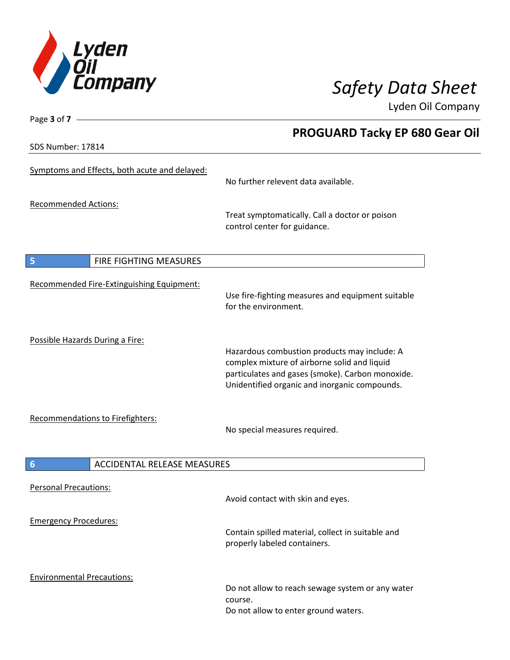

**PROGUARD Tacky EP 680 Gear Oil**

Lyden Oil Company

SDS Number: 17814

Page **3** of **7**

# Symptoms and Effects, both acute and delayed: No further relevent data available. Recommended Actions: Treat symptomatically. Call a doctor or poison control center for guidance. **5** FIRE FIGHTING MEASURES Recommended Fire-Extinguishing Equipment: Use fire-fighting measures and equipment suitable for the environment. Possible Hazards During a Fire: Hazardous combustion products may include: A complex mixture of airborne solid and liquid particulates and gases (smoke). Carbon monoxide. Unidentified organic and inorganic compounds. Recommendations to Firefighters: No special measures required. **6 ACCIDENTAL RELEASE MEASURES** Personal Precautions: Avoid contact with skin and eyes. Emergency Procedures: Contain spilled material, collect in suitable and properly labeled containers. Environmental Precautions:

Do not allow to reach sewage system or any water course. Do not allow to enter ground waters.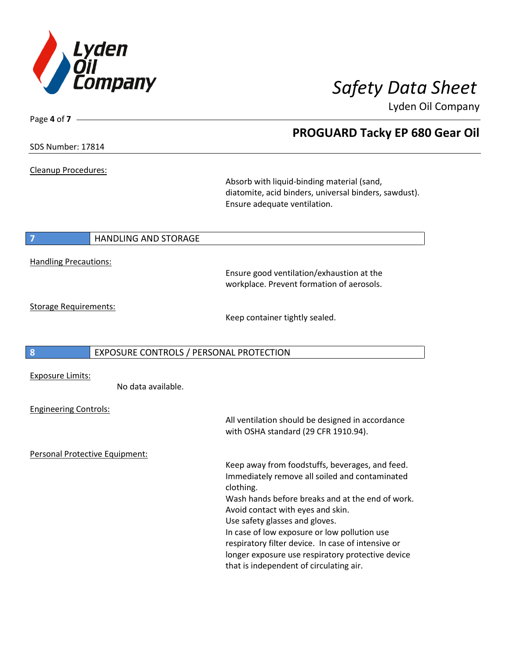

**PROGUARD Tacky EP 680 Gear Oil**

Lyden Oil Company

SDS Number: 17814

Page **4** of **7**

Cleanup Procedures:

Absorb with liquid-binding material (sand, diatomite, acid binders, universal binders, sawdust). Ensure adequate ventilation.

| <b>Contract Contract Contract Contract Contract Contract Contract Contract Contract Contract Contract Contract Co</b> |  |  |
|-----------------------------------------------------------------------------------------------------------------------|--|--|
|                                                                                                                       |  |  |
|                                                                                                                       |  |  |
|                                                                                                                       |  |  |
|                                                                                                                       |  |  |
|                                                                                                                       |  |  |

### **7** HANDLING AND STORAGE

Handling Precautions:

Ensure good ventilation/exhaustion at the workplace. Prevent formation of aerosols.

Storage Requirements:

Keep container tightly sealed.

### **8** EXPOSURE CONTROLS / PERSONAL PROTECTION

Exposure Limits:

No data available.

Engineering Controls:

Personal Protective Equipment:

All ventilation should be designed in accordance with OSHA standard (29 CFR 1910.94).

Keep away from foodstuffs, beverages, and feed. Immediately remove all soiled and contaminated clothing.

Wash hands before breaks and at the end of work. Avoid contact with eyes and skin.

Use safety glasses and gloves.

In case of low exposure or low pollution use respiratory filter device. In case of intensive or

longer exposure use respiratory protective device that is independent of circulating air.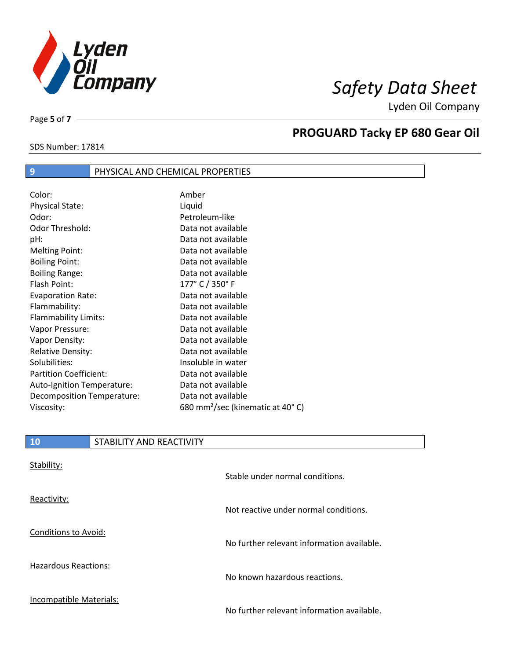

Page **5** of **7**

# **PROGUARD Tacky EP 680 Gear Oil**

|--|

| 9                             | PHYSICAL AND CHEMICAL PROPERTIES             |
|-------------------------------|----------------------------------------------|
| Color:                        | Amber                                        |
| Physical State:               | Liquid                                       |
| Odor:                         | Petroleum-like                               |
| Odor Threshold:               | Data not available                           |
| pH:                           | Data not available                           |
| <b>Melting Point:</b>         | Data not available                           |
| <b>Boiling Point:</b>         | Data not available                           |
| <b>Boiling Range:</b>         | Data not available                           |
| Flash Point:                  | 177° C / 350° F                              |
| <b>Evaporation Rate:</b>      | Data not available                           |
| Flammability:                 | Data not available                           |
| Flammability Limits:          | Data not available                           |
| Vapor Pressure:               | Data not available                           |
| Vapor Density:                | Data not available                           |
| <b>Relative Density:</b>      | Data not available                           |
| Solubilities:                 | Insoluble in water                           |
| <b>Partition Coefficient:</b> | Data not available                           |
| Auto-Ignition Temperature:    | Data not available                           |
| Decomposition Temperature:    | Data not available                           |
| Viscosity:                    | 680 mm <sup>2</sup> /sec (kinematic at 40°C) |

| 10                          | STABILITY AND REACTIVITY |                                            |
|-----------------------------|--------------------------|--------------------------------------------|
| Stability:                  |                          | Stable under normal conditions.            |
| Reactivity:                 |                          | Not reactive under normal conditions.      |
| <b>Conditions to Avoid:</b> |                          | No further relevant information available. |
| <b>Hazardous Reactions:</b> |                          | No known hazardous reactions.              |
| Incompatible Materials:     |                          | No further relevant information available. |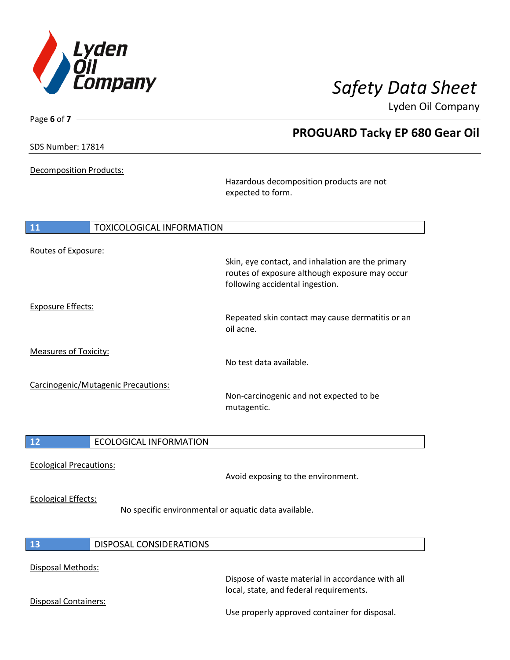

**PROGUARD Tacky EP 680 Gear Oil**

Lyden Oil Company

Page **6** of **7**

Decomposition Products:

Hazardous decomposition products are not expected to form.

| <b>11</b>                           | <b>TOXICOLOGICAL INFORMATION</b>                                                                                                       |  |
|-------------------------------------|----------------------------------------------------------------------------------------------------------------------------------------|--|
| Routes of Exposure:                 | Skin, eye contact, and inhalation are the primary<br>routes of exposure although exposure may occur<br>following accidental ingestion. |  |
| <b>Exposure Effects:</b>            | Repeated skin contact may cause dermatitis or an<br>oil acne.                                                                          |  |
| <b>Measures of Toxicity:</b>        | No test data available.                                                                                                                |  |
| Carcinogenic/Mutagenic Precautions: | Non-carcinogenic and not expected to be<br>mutagentic.                                                                                 |  |

Ecological Precautions:

Avoid exposing to the environment.

### Ecological Effects:

No specific environmental or aquatic data available.

| 13                                        | DISPOSAL CONSIDERATIONS |                                                                                                                                              |
|-------------------------------------------|-------------------------|----------------------------------------------------------------------------------------------------------------------------------------------|
| Disposal Methods:<br>Disposal Containers: |                         | Dispose of waste material in accordance with all<br>local, state, and federal requirements.<br>Use properly approved container for disposal. |